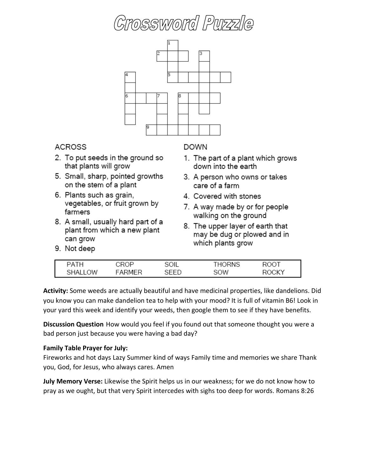

| D∆T⊦       | ROP<br>שו י | SOIL | RNS<br>$\overline{\phantom{a}}$ | SOO.  |
|------------|-------------|------|---------------------------------|-------|
| าW<br>SΗΔ. | ∆ ا⊣ ⊿      | --   | SOW                             | ROGKA |

**Activity:** Some weeds are actually beautiful and have medicinal properties, like dandelions. Did you know you can make dandelion tea to help with your mood? It is full of vitamin B6! Look in your yard this week and identify your weeds, then google them to see if they have benefits.

**Discussion Question** How would you feel if you found out that someone thought you were a bad person just because you were having a bad day?

### **Family Table Prayer for July:**

Fireworks and hot days Lazy Summer kind of ways Family time and memories we share Thank you, God, for Jesus, who always cares. Amen

**July Memory Verse:** Likewise the Spirit helps us in our weakness; for we do not know how to pray as we ought, but that very Spirit intercedes with sighs too deep for words. Romans 8:26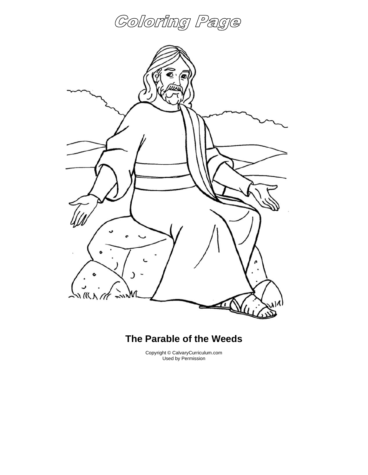



### **The Parable of the Weeds**

Copyright © CalvaryCurriculum.com Used by Permission